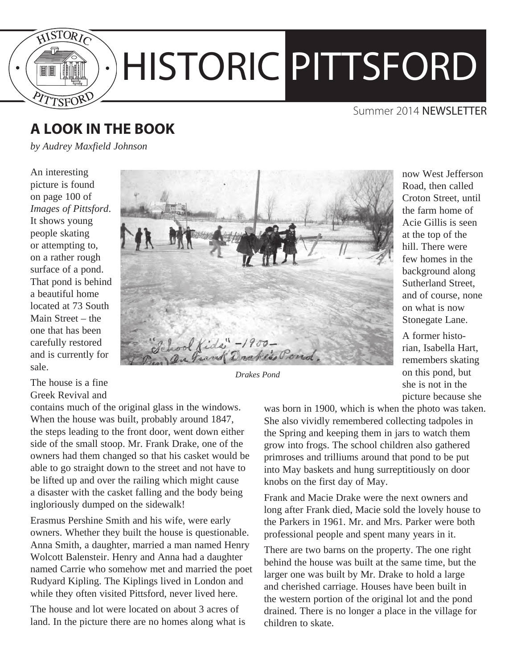

### Summer 2014 NEWSLETTER

## **A LOOK IN THE BOOK**

*by Audrey Maxfield Johnson*

An interesting picture is found on page 100 of *Images of Pittsford*. It shows young people skating or attempting to, on a rather rough surface of a pond. That pond is behind a beautiful home located at 73 South Main Street – the one that has been carefully restored and is currently for sale.

The house is a fine Greek Revival and

contains much of the original glass in the windows. When the house was built, probably around 1847, the steps leading to the front door, went down either side of the small stoop. Mr. Frank Drake, one of the owners had them changed so that his casket would be able to go straight down to the street and not have to be lifted up and over the railing which might cause a disaster with the casket falling and the body being ingloriously dumped on the sidewalk!

Erasmus Pershine Smith and his wife, were early owners. Whether they built the house is questionable. Anna Smith, a daughter, married a man named Henry Wolcott Balensteir. Henry and Anna had a daughter named Carrie who somehow met and married the poet Rudyard Kipling. The Kiplings lived in London and while they often visited Pittsford, never lived here.

The house and lot were located on about 3 acres of land. In the picture there are no homes along what is



*Drakes Pond*

now West Jefferson Road, then called Croton Street, until the farm home of Acie Gillis is seen at the top of the hill. There were few homes in the background along Sutherland Street, and of course, none on what is now Stonegate Lane.

A former historian, Isabella Hart, remembers skating on this pond, but she is not in the picture because she

was born in 1900, which is when the photo was taken. She also vividly remembered collecting tadpoles in the Spring and keeping them in jars to watch them grow into frogs. The school children also gathered primroses and trilliums around that pond to be put into May baskets and hung surreptitiously on door knobs on the first day of May.

Frank and Macie Drake were the next owners and long after Frank died, Macie sold the lovely house to the Parkers in 1961. Mr. and Mrs. Parker were both professional people and spent many years in it.

There are two barns on the property. The one right behind the house was built at the same time, but the larger one was built by Mr. Drake to hold a large and cherished carriage. Houses have been built in the western portion of the original lot and the pond drained. There is no longer a place in the village for children to skate.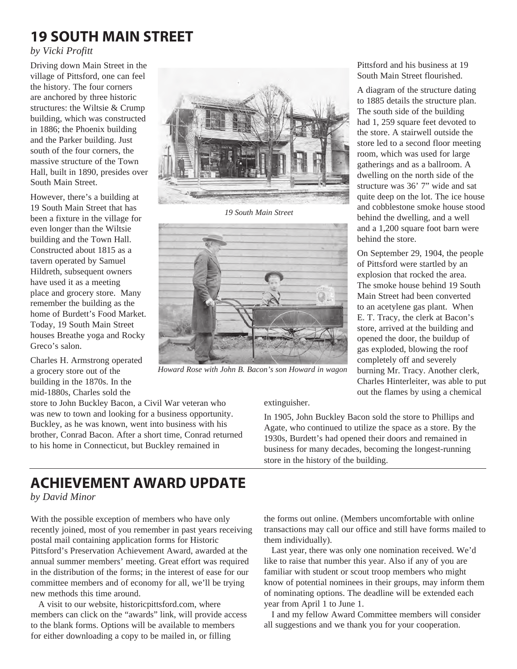# **19 South main street**

#### *by Vicki Profitt*

Driving down Main Street in the village of Pittsford, one can feel the history. The four corners are anchored by three historic structures: the Wiltsie & Crump building, which was constructed in 1886; the Phoenix building and the Parker building. Just south of the four corners, the massive structure of the Town Hall, built in 1890, presides over South Main Street.

However, there's a building at 19 South Main Street that has been a fixture in the village for even longer than the Wiltsie building and the Town Hall. Constructed about 1815 as a tavern operated by Samuel Hildreth, subsequent owners have used it as a meeting place and grocery store. Many remember the building as the home of Burdett's Food Market. Today, 19 South Main Street houses Breathe yoga and Rocky Greco's salon.

Charles H. Armstrong operated a grocery store out of the building in the 1870s. In the mid-1880s, Charles sold the

store to John Buckley Bacon, a Civil War veteran who was new to town and looking for a business opportunity. Buckley, as he was known, went into business with his brother, Conrad Bacon. After a short time, Conrad returned to his home in Connecticut, but Buckley remained in



*19 South Main Street*



*Howard Rose with John B. Bacon's son Howard in wagon*

extinguisher.

In 1905, John Buckley Bacon sold the store to Phillips and Agate, who continued to utilize the space as a store. By the 1930s, Burdett's had opened their doors and remained in business for many decades, becoming the longest-running store in the history of the building.

## **ACHIEVEMENT AWARD UPDATE**

*by David Minor*

With the possible exception of members who have only recently joined, most of you remember in past years receiving postal mail containing application forms for Historic Pittsford's Preservation Achievement Award, awarded at the annual summer members' meeting. Great effort was required in the distribution of the forms; in the interest of ease for our committee members and of economy for all, we'll be trying new methods this time around.

A visit to our website, historicpittsford.com, where members can click on the "awards" link, will provide access to the blank forms. Options will be available to members for either downloading a copy to be mailed in, or filling

the forms out online. (Members uncomfortable with online transactions may call our office and still have forms mailed to them individually).

Last year, there was only one nomination received. We'd like to raise that number this year. Also if any of you are familiar with student or scout troop members who might know of potential nominees in their groups, may inform them of nominating options. The deadline will be extended each year from April 1 to June 1.

I and my fellow Award Committee members will consider all suggestions and we thank you for your cooperation.

Pittsford and his business at 19 South Main Street flourished.

A diagram of the structure dating to 1885 details the structure plan. The south side of the building had 1, 259 square feet devoted to the store. A stairwell outside the store led to a second floor meeting room, which was used for large gatherings and as a ballroom. A dwelling on the north side of the structure was 36' 7" wide and sat quite deep on the lot. The ice house and cobblestone smoke house stood behind the dwelling, and a well and a 1,200 square foot barn were behind the store.

On September 29, 1904, the people of Pittsford were startled by an explosion that rocked the area. The smoke house behind 19 South Main Street had been converted to an acetylene gas plant. When E. T. Tracy, the clerk at Bacon's store, arrived at the building and opened the door, the buildup of gas exploded, blowing the roof completely off and severely burning Mr. Tracy. Another clerk, Charles Hinterleiter, was able to put out the flames by using a chemical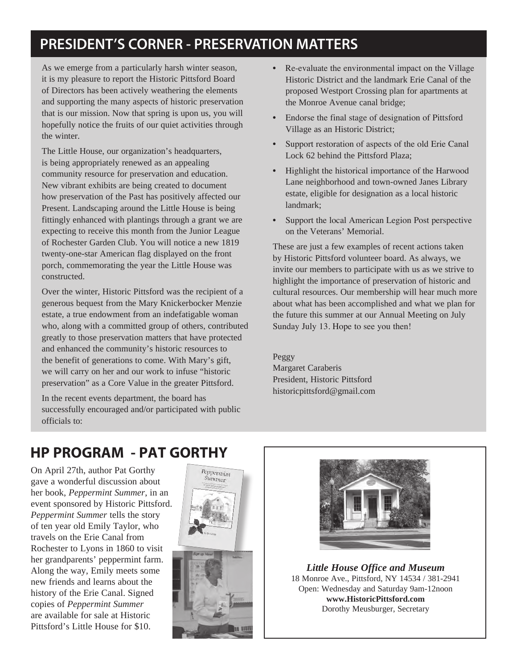# PRESIDENT'S CORNER - PRESERVATION MATTERS

As we emerge from a particularly harsh winter season, it is my pleasure to report the Historic Pittsford Board of Directors has been actively weathering the elements and supporting the many aspects of historic preservation that is our mission. Now that spring is upon us, you will hopefully notice the fruits of our quiet activities through the winter.

The Little House, our organization's headquarters, is being appropriately renewed as an appealing community resource for preservation and education. New vibrant exhibits are being created to document how preservation of the Past has positively affected our Present. Landscaping around the Little House is being fittingly enhanced with plantings through a grant we are expecting to receive this month from the Junior League of Rochester Garden Club. You will notice a new 1819 twenty-one-star American flag displayed on the front porch, commemorating the year the Little House was constructed.

Over the winter, Historic Pittsford was the recipient of a generous bequest from the Mary Knickerbocker Menzie estate, a true endowment from an indefatigable woman who, along with a committed group of others, contributed greatly to those preservation matters that have protected and enhanced the community's historic resources to the benefit of generations to come. With Mary's gift, we will carry on her and our work to infuse "historic preservation" as a Core Value in the greater Pittsford.

In the recent events department, the board has successfully encouraged and/or participated with public officials to:

- Re-evaluate the environmental impact on the Village Historic District and the landmark Erie Canal of the proposed Westport Crossing plan for apartments at the Monroe Avenue canal bridge;
- Endorse the final stage of designation of Pittsford Village as an Historic District;
- Support restoration of aspects of the old Erie Canal Lock 62 behind the Pittsford Plaza;
- Highlight the historical importance of the Harwood Lane neighborhood and town-owned Janes Library estate, eligible for designation as a local historic landmark;
- Support the local American Legion Post perspective on the Veterans' Memorial.

These are just a few examples of recent actions taken by Historic Pittsford volunteer board. As always, we invite our members to participate with us as we strive to highlight the importance of preservation of historic and cultural resources. Our membership will hear much more about what has been accomplished and what we plan for the future this summer at our Annual Meeting on July Sunday July 13. Hope to see you then!

Peggy Margaret Caraberis President, Historic Pittsford historicpittsford@gmail.com

## **HP program - Pat Gorthy**

On April 27th, author Pat Gorthy gave a wonderful discussion about her book, *Peppermint Summer*, in an event sponsored by Historic Pittsford. *Peppermint Summer* tells the story of ten year old Emily Taylor, who travels on the Erie Canal from Rochester to Lyons in 1860 to visit her grandparents' peppermint farm. Along the way, Emily meets some new friends and learns about the history of the Erie Canal. Signed copies of *Peppermint Summer*  are available for sale at Historic Pittsford's Little House for \$10.





*Little House Office and Museum* 18 Monroe Ave., Pittsford, NY 14534 / 381-2941 Open: Wednesday and Saturday 9am-12noon **www.HistoricPittsford.com** Dorothy Meusburger, Secretary